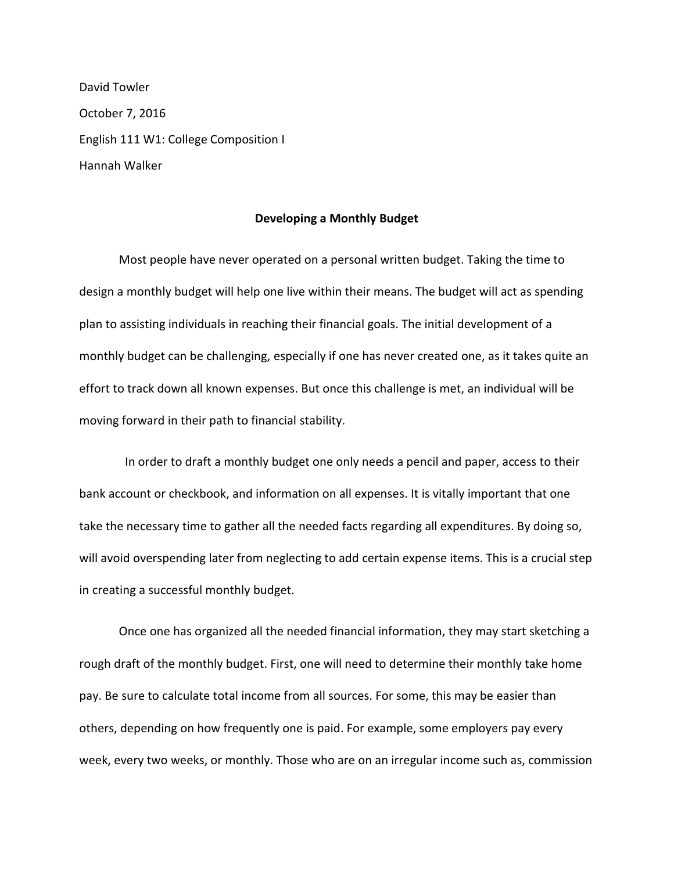David Towler October 7, 2016 English 111 W1: College Composition I Hannah Walker

## **Developing a Monthly Budget**

Most people have never operated on a personal written budget. Taking the time to design a monthly budget will help one live within their means. The budget will act as spending plan to assisting individuals in reaching their financial goals. The initial development of a monthly budget can be challenging, especially if one has never created one, as it takes quite an effort to track down all known expenses. But once this challenge is met, an individual will be moving forward in their path to financial stability.

 In order to draft a monthly budget one only needs a pencil and paper, access to their bank account or checkbook, and information on all expenses. It is vitally important that one take the necessary time to gather all the needed facts regarding all expenditures. By doing so, will avoid overspending later from neglecting to add certain expense items. This is a crucial step in creating a successful monthly budget.

Once one has organized all the needed financial information, they may start sketching a rough draft of the monthly budget. First, one will need to determine their monthly take home pay. Be sure to calculate total income from all sources. For some, this may be easier than others, depending on how frequently one is paid. For example, some employers pay every week, every two weeks, or monthly. Those who are on an irregular income such as, commission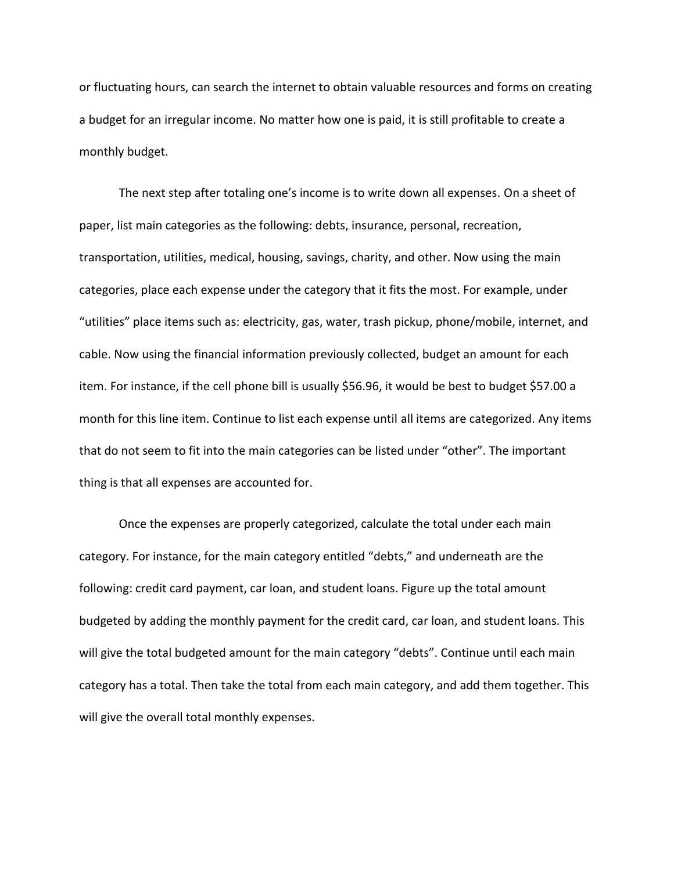or fluctuating hours, can search the internet to obtain valuable resources and forms on creating a budget for an irregular income. No matter how one is paid, it is still profitable to create a monthly budget.

The next step after totaling one's income is to write down all expenses. On a sheet of paper, list main categories as the following: debts, insurance, personal, recreation, transportation, utilities, medical, housing, savings, charity, and other. Now using the main categories, place each expense under the category that it fits the most. For example, under "utilities" place items such as: electricity, gas, water, trash pickup, phone/mobile, internet, and cable. Now using the financial information previously collected, budget an amount for each item. For instance, if the cell phone bill is usually \$56.96, it would be best to budget \$57.00 a month for this line item. Continue to list each expense until all items are categorized. Any items that do not seem to fit into the main categories can be listed under "other". The important thing is that all expenses are accounted for.

Once the expenses are properly categorized, calculate the total under each main category. For instance, for the main category entitled "debts," and underneath are the following: credit card payment, car loan, and student loans. Figure up the total amount budgeted by adding the monthly payment for the credit card, car loan, and student loans. This will give the total budgeted amount for the main category "debts". Continue until each main category has a total. Then take the total from each main category, and add them together. This will give the overall total monthly expenses.